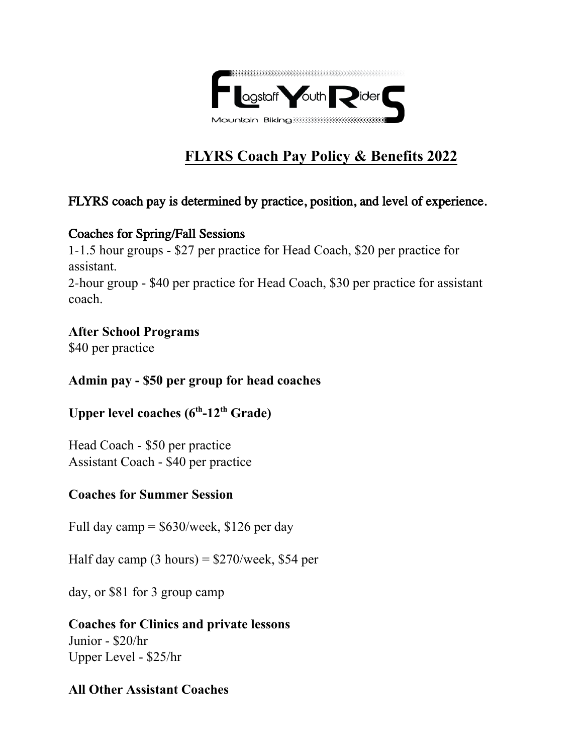

# **FLYRS Coach Pay Policy & Benefits 2022**

## FLYRS coach pay is determined by practice, position, and level of experience.

#### Coaches for Spring/Fall Sessions

1-1.5 hour groups - \$27 per practice for Head Coach, \$20 per practice for assistant.

2-hour group - \$40 per practice for Head Coach, \$30 per practice for assistant coach.

## **After School Programs**

\$40 per practice

#### **Admin pay - \$50 per group for head coaches**

# **Upper level coaches (6th-12th Grade)**

Head Coach - \$50 per practice Assistant Coach - \$40 per practice

#### **Coaches for Summer Session**

Full day camp  $=$  \$630/week, \$126 per day

Half day camp  $(3 \text{ hours}) = $270/\text{week}, $54 \text{ per}$ 

day, or \$81 for 3 group camp

#### **Coaches for Clinics and private lessons** Junior - \$20/hr Upper Level - \$25/hr

#### **All Other Assistant Coaches**